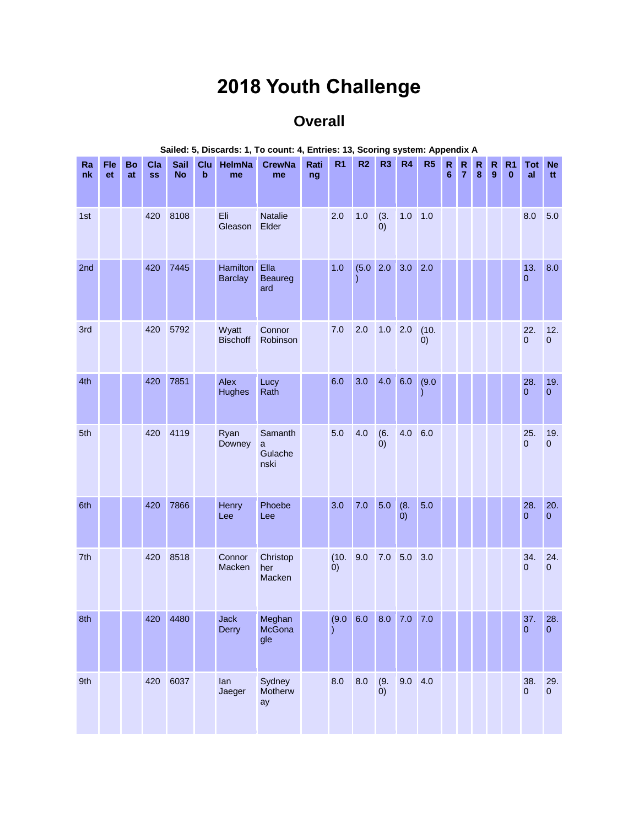## **2018 Youth Challenge**

## **Overall**

| Ra<br>nk | Fle<br>et | <b>Bo</b><br>at | Cla<br><b>SS</b> | Sail<br><b>No</b> | <b>Clu</b><br>$\mathbf b$ | HelmNa<br>me                      | <b>CrewNa</b><br>me             | Rati<br>ng | R <sub>1</sub> | R <sub>2</sub>                     | R <sub>3</sub>           | R4               | R <sub>5</sub> | ${\sf R}$<br>6 | $\mathsf R$<br>$\overline{7}$ | R<br>8 | ${\sf R}$<br>9 | R <sub>1</sub><br>$\mathbf 0$ | Tot<br>al             | <b>Ne</b><br>tt       |
|----------|-----------|-----------------|------------------|-------------------|---------------------------|-----------------------------------|---------------------------------|------------|----------------|------------------------------------|--------------------------|------------------|----------------|----------------|-------------------------------|--------|----------------|-------------------------------|-----------------------|-----------------------|
| 1st      |           |                 | 420              | 8108              |                           | Eli<br>Gleason                    | Natalie<br>Elder                |            | 2.0            | 1.0                                | (3.<br>(0)               | 1.0              | 1.0            |                |                               |        |                |                               | 8.0                   | 5.0                   |
| 2nd      |           |                 | 420              | 7445              |                           | <b>Hamilton</b><br><b>Barclay</b> | Ella<br><b>Beaureg</b><br>ard   |            | 1.0            | (5.0)                              | 2.0                      | 3.0              | 2.0            |                |                               |        |                |                               | 13.<br>$\mathbf{0}$   | 8.0                   |
| 3rd      |           |                 | 420              | 5792              |                           | Wyatt<br><b>Bischoff</b>          | Connor<br>Robinson              |            | 7.0            | 2.0                                | 1.0                      | 2.0              | (10.<br>(0)    |                |                               |        |                |                               | 22.<br>$\overline{0}$ | 12.<br>$\pmb{0}$      |
| 4th      |           |                 | 420              | 7851              |                           | Alex<br><b>Hughes</b>             | Lucy<br>Rath                    |            | 6.0            | 3.0                                | 4.0                      | 6.0              | (9.0)          |                |                               |        |                |                               | 28.<br>$\mathbf{0}$   | 19.<br>$\mathbf{0}$   |
| 5th      |           |                 | 420              | 4119              |                           | Ryan<br>Downey                    | Samanth<br>a<br>Gulache<br>nski |            | 5.0            | 4.0                                | (6.<br>$\left( 0\right)$ | 4.0              | 6.0            |                |                               |        |                |                               | 25.<br>$\overline{0}$ | 19.<br>$\overline{0}$ |
| 6th      |           |                 | 420              | 7866              |                           | Henry<br>Lee                      | Phoebe<br>Lee                   |            | 3.0            | 7.0                                | 5.0                      | (8.<br>$\dot{0}$ | 5.0            |                |                               |        |                |                               | 28.<br>$\mathbf{0}$   | 20.<br>$\mathbf 0$    |
| 7th      |           |                 | 420              | 8518              |                           | Connor<br>Macken                  | Christop<br>her<br>Macken       |            | (10.<br>(0)    | 9.0                                | $7.0\,$                  | 5.0              | 3.0            |                |                               |        |                |                               | 34.<br>$\mathbf{0}$   | 24.<br>$\mathbf{0}$   |
| 8th      |           |                 |                  | 420 4480          |                           | <b>Jack</b><br>Derry              | Meghan<br>McGona<br>gle         |            |                | $(9.0 \t 6.0 \t 8.0 \t 7.0 \t 7.0$ |                          |                  |                |                |                               |        |                |                               | 37.<br>$\pmb{0}$      | 28.<br>$\mathbf 0$    |
| 9th      |           |                 |                  | 420 6037          |                           | lan<br>Jaeger                     | Sydney<br>Motherw<br>ay         |            | 8.0            | $8.0\,$                            | (9.<br>$\dot{0}$         | $9.0$ 4.0        |                |                |                               |        |                |                               | 38.<br>$\Omega$       | 29.<br>$\overline{0}$ |

## **Sailed: 5, Discards: 1, To count: 4, Entries: 13, Scoring system: Appendix A**